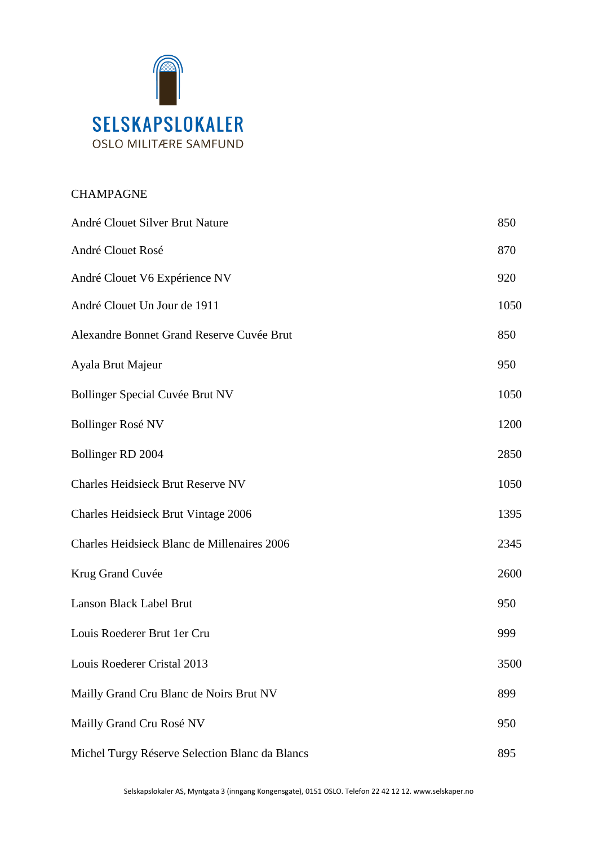

# CHAMPAGNE

| André Clouet Silver Brut Nature                | 850  |
|------------------------------------------------|------|
| André Clouet Rosé                              | 870  |
| André Clouet V6 Expérience NV                  | 920  |
| André Clouet Un Jour de 1911                   | 1050 |
| Alexandre Bonnet Grand Reserve Cuvée Brut      | 850  |
| Ayala Brut Majeur                              | 950  |
| Bollinger Special Cuvée Brut NV                | 1050 |
| <b>Bollinger Rosé NV</b>                       | 1200 |
| Bollinger RD 2004                              | 2850 |
| <b>Charles Heidsieck Brut Reserve NV</b>       | 1050 |
| Charles Heidsieck Brut Vintage 2006            | 1395 |
| Charles Heidsieck Blanc de Millenaires 2006    | 2345 |
| Krug Grand Cuvée                               | 2600 |
| Lanson Black Label Brut                        | 950  |
| Louis Roederer Brut 1er Cru                    | 999  |
| Louis Roederer Cristal 2013                    | 3500 |
| Mailly Grand Cru Blanc de Noirs Brut NV        | 899  |
| Mailly Grand Cru Rosé NV                       | 950  |
| Michel Turgy Réserve Selection Blanc da Blancs | 895  |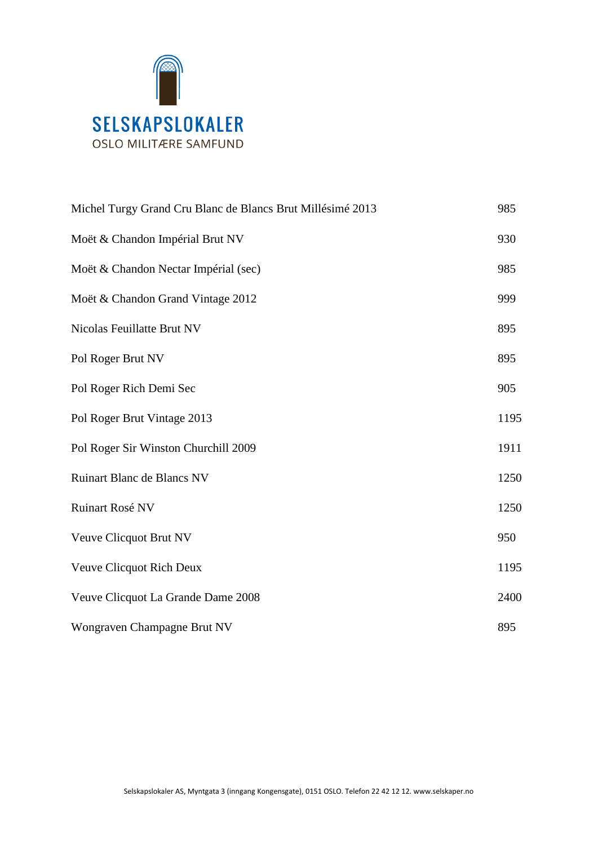

| Michel Turgy Grand Cru Blanc de Blancs Brut Millésimé 2013 | 985  |
|------------------------------------------------------------|------|
| Moët & Chandon Impérial Brut NV                            | 930  |
| Moët & Chandon Nectar Impérial (sec)                       | 985  |
| Moët & Chandon Grand Vintage 2012                          | 999  |
| Nicolas Feuillatte Brut NV                                 | 895  |
| Pol Roger Brut NV                                          | 895  |
| Pol Roger Rich Demi Sec                                    | 905  |
| Pol Roger Brut Vintage 2013                                | 1195 |
| Pol Roger Sir Winston Churchill 2009                       | 1911 |
| <b>Ruinart Blanc de Blancs NV</b>                          | 1250 |
| Ruinart Rosé NV                                            | 1250 |
| Veuve Clicquot Brut NV                                     | 950  |
| Veuve Clicquot Rich Deux                                   | 1195 |
| Veuve Clicquot La Grande Dame 2008                         | 2400 |
| Wongraven Champagne Brut NV                                | 895  |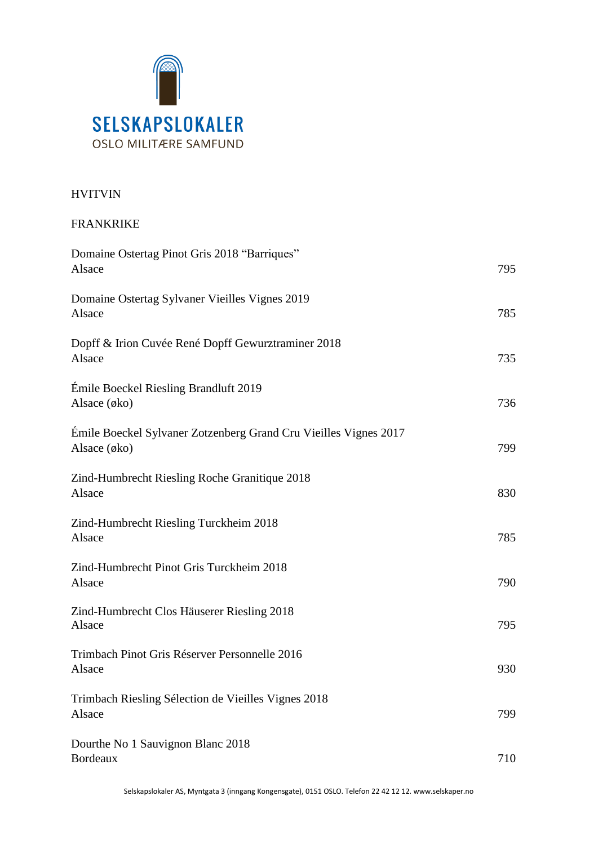

# HVITVIN

### FRANKRIKE

| Domaine Ostertag Pinot Gris 2018 "Barriques"<br>Alsace                           | 795 |
|----------------------------------------------------------------------------------|-----|
| Domaine Ostertag Sylvaner Vieilles Vignes 2019<br>Alsace                         | 785 |
| Dopff & Irion Cuvée René Dopff Gewurztraminer 2018<br>Alsace                     | 735 |
| Émile Boeckel Riesling Brandluft 2019<br>Alsace $(\emptyset k_0)$                | 736 |
| Émile Boeckel Sylvaner Zotzenberg Grand Cru Vieilles Vignes 2017<br>Alsace (øko) | 799 |
| Zind-Humbrecht Riesling Roche Granitique 2018<br>Alsace                          | 830 |
| Zind-Humbrecht Riesling Turckheim 2018<br>Alsace                                 | 785 |
| Zind-Humbrecht Pinot Gris Turckheim 2018<br>Alsace                               | 790 |
| Zind-Humbrecht Clos Häuserer Riesling 2018<br>Alsace                             | 795 |
| Trimbach Pinot Gris Réserver Personnelle 2016<br>Alsace                          | 930 |
| Trimbach Riesling Sélection de Vieilles Vignes 2018<br>Alsace                    | 799 |
| Dourthe No 1 Sauvignon Blanc 2018<br>Bordeaux                                    | 710 |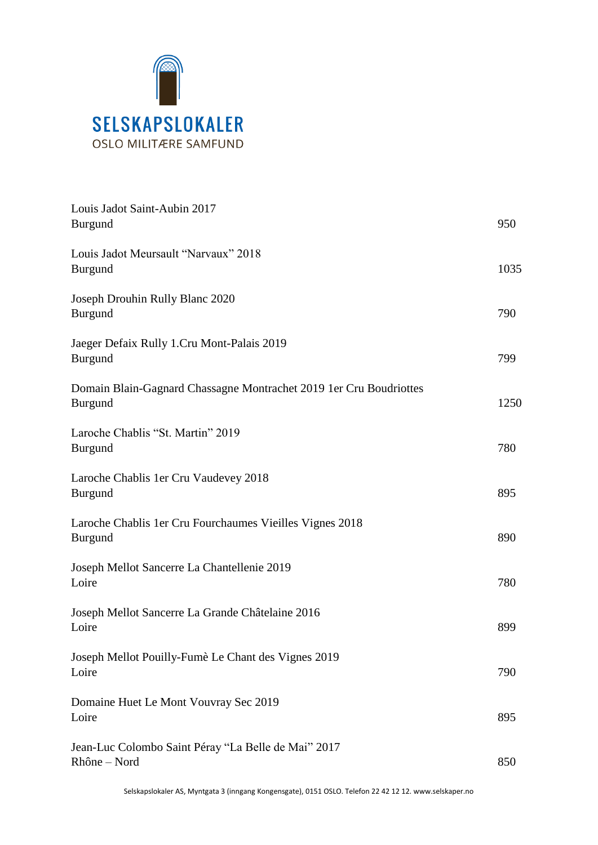

| Louis Jadot Saint-Aubin 2017<br><b>Burgund</b>                                       | 950  |
|--------------------------------------------------------------------------------------|------|
| Louis Jadot Meursault "Narvaux" 2018<br><b>Burgund</b>                               | 1035 |
| Joseph Drouhin Rully Blanc 2020<br><b>Burgund</b>                                    | 790  |
| Jaeger Defaix Rully 1.Cru Mont-Palais 2019<br><b>Burgund</b>                         | 799  |
| Domain Blain-Gagnard Chassagne Montrachet 2019 1er Cru Boudriottes<br><b>Burgund</b> | 1250 |
| Laroche Chablis "St. Martin" 2019<br><b>Burgund</b>                                  | 780  |
| Laroche Chablis 1 er Cru Vaudevey 2018<br><b>Burgund</b>                             | 895  |
| Laroche Chablis 1 er Cru Fourchaumes Vieilles Vignes 2018<br><b>Burgund</b>          | 890  |
| Joseph Mellot Sancerre La Chantellenie 2019<br>Loire                                 | 780  |
| Joseph Mellot Sancerre La Grande Châtelaine 2016<br>Loire                            | 899  |
| Joseph Mellot Pouilly-Fumè Le Chant des Vignes 2019<br>Loire                         | 790  |
| Domaine Huet Le Mont Vouvray Sec 2019<br>Loire                                       | 895  |
| Jean-Luc Colombo Saint Péray "La Belle de Mai" 2017<br>Rhône - Nord                  | 850  |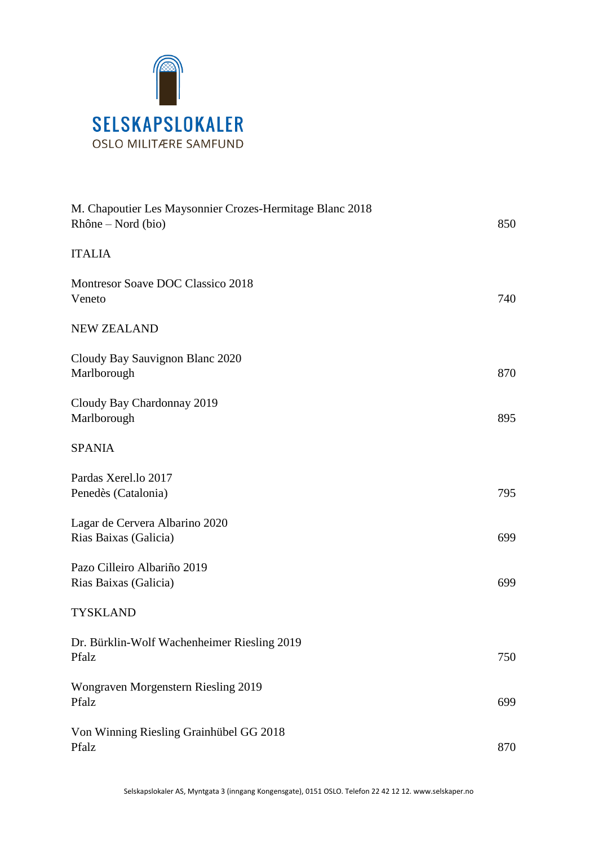

| M. Chapoutier Les Maysonnier Crozes-Hermitage Blanc 2018<br>Rhône – Nord (bio) | 850 |
|--------------------------------------------------------------------------------|-----|
| <b>ITALIA</b>                                                                  |     |
| Montresor Soave DOC Classico 2018<br>Veneto                                    | 740 |
| <b>NEW ZEALAND</b>                                                             |     |
| Cloudy Bay Sauvignon Blanc 2020<br>Marlborough                                 | 870 |
| Cloudy Bay Chardonnay 2019<br>Marlborough                                      | 895 |
| <b>SPANIA</b>                                                                  |     |
| Pardas Xerel.lo 2017<br>Penedès (Catalonia)                                    | 795 |
| Lagar de Cervera Albarino 2020<br>Rias Baixas (Galicia)                        | 699 |
| Pazo Cilleiro Albariño 2019<br>Rias Baixas (Galicia)                           | 699 |
| <b>TYSKLAND</b>                                                                |     |
| Dr. Bürklin-Wolf Wachenheimer Riesling 2019<br>Pfalz                           | 750 |
| Wongraven Morgenstern Riesling 2019<br>Pfalz                                   | 699 |
| Von Winning Riesling Grainhübel GG 2018<br>Pfalz                               | 870 |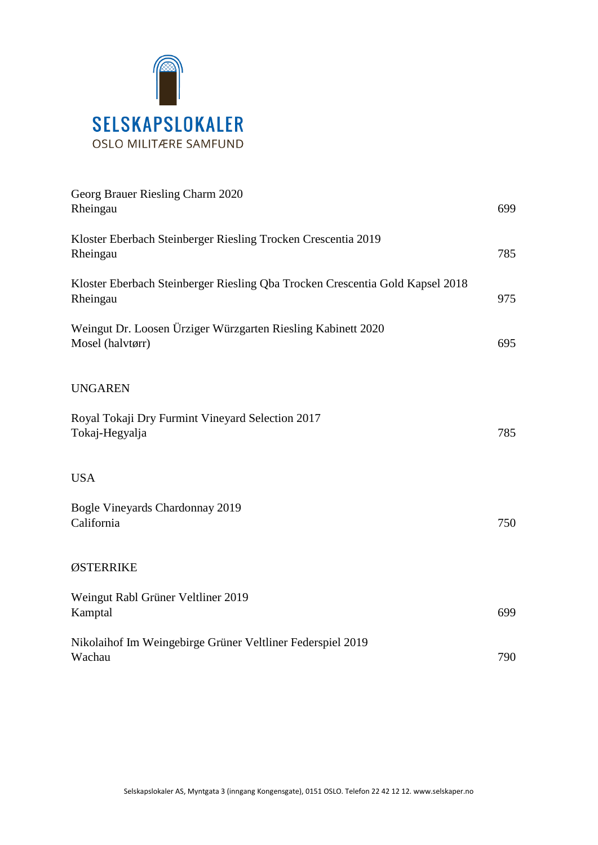

| Georg Brauer Riesling Charm 2020<br>Rheingau                                              | 699 |
|-------------------------------------------------------------------------------------------|-----|
| Kloster Eberbach Steinberger Riesling Trocken Crescentia 2019<br>Rheingau                 | 785 |
| Kloster Eberbach Steinberger Riesling Qba Trocken Crescentia Gold Kapsel 2018<br>Rheingau | 975 |
| Weingut Dr. Loosen Ürziger Würzgarten Riesling Kabinett 2020<br>Mosel (halvtørr)          | 695 |
| <b>UNGAREN</b>                                                                            |     |
| Royal Tokaji Dry Furmint Vineyard Selection 2017<br>Tokaj-Hegyalja                        | 785 |
| <b>USA</b>                                                                                |     |
| Bogle Vineyards Chardonnay 2019<br>California                                             | 750 |
| ØSTERRIKE                                                                                 |     |
| Weingut Rabl Grüner Veltliner 2019<br>Kamptal                                             | 699 |
| Nikolaihof Im Weingebirge Grüner Veltliner Federspiel 2019<br>Wachau                      | 790 |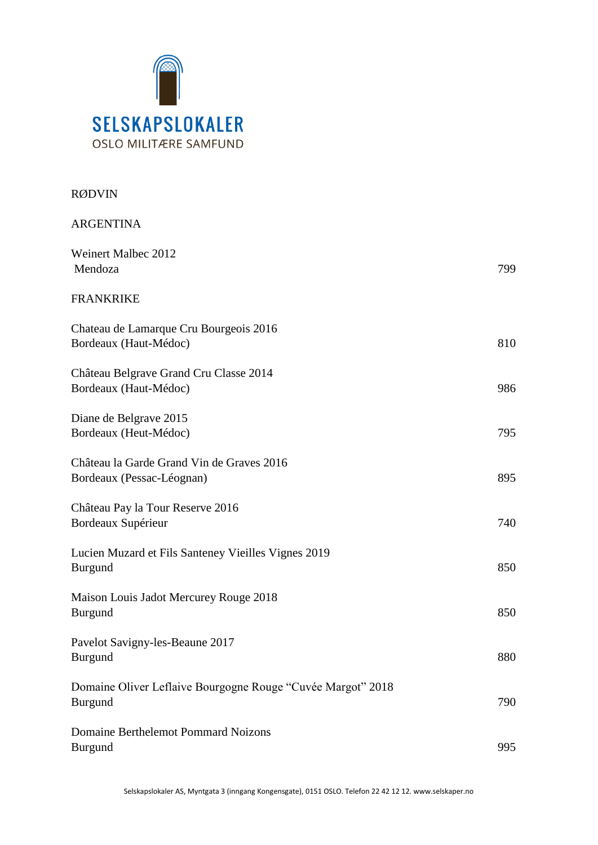

# RØDVIN

| <b>ARGENTINA</b>                                                              |     |
|-------------------------------------------------------------------------------|-----|
| Weinert Malbec 2012<br>Mendoza                                                | 799 |
| <b>FRANKRIKE</b>                                                              |     |
| Chateau de Lamarque Cru Bourgeois 2016<br>Bordeaux (Haut-Médoc)               | 810 |
| Château Belgrave Grand Cru Classe 2014<br>Bordeaux (Haut-Médoc)               | 986 |
| Diane de Belgrave 2015<br>Bordeaux (Heut-Médoc)                               | 795 |
| Château la Garde Grand Vin de Graves 2016<br>Bordeaux (Pessac-Léognan)        | 895 |
| Château Pay la Tour Reserve 2016<br>Bordeaux Supérieur                        | 740 |
| Lucien Muzard et Fils Santeney Vieilles Vignes 2019<br><b>Burgund</b>         | 850 |
| Maison Louis Jadot Mercurey Rouge 2018<br><b>Burgund</b>                      | 850 |
| Pavelot Savigny-les-Beaune 2017<br><b>Burgund</b>                             | 880 |
| Domaine Oliver Leflaive Bourgogne Rouge "Cuvée Margot" 2018<br><b>Burgund</b> | 790 |
| <b>Domaine Berthelemot Pommard Noizons</b><br><b>Burgund</b>                  | 995 |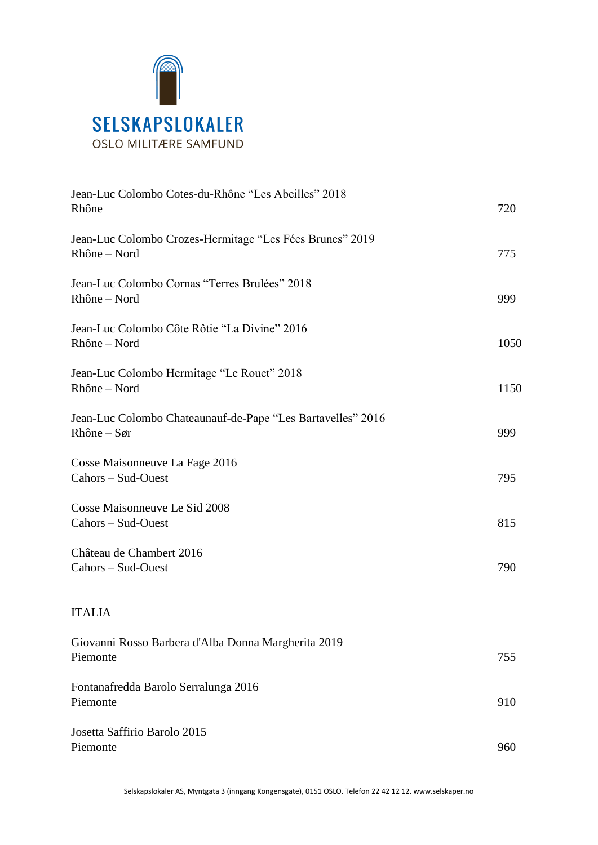

| Jean-Luc Colombo Cotes-du-Rhône "Les Abeilles" 2018<br>Rhône               | 720  |
|----------------------------------------------------------------------------|------|
| Jean-Luc Colombo Crozes-Hermitage "Les Fées Brunes" 2019<br>Rhône - Nord   | 775  |
| Jean-Luc Colombo Cornas "Terres Brulées" 2018<br>Rhône - Nord              | 999  |
| Jean-Luc Colombo Côte Rôtie "La Divine" 2016<br>Rhône – Nord               | 1050 |
| Jean-Luc Colombo Hermitage "Le Rouet" 2018<br>Rhône – Nord                 | 1150 |
| Jean-Luc Colombo Chateaunauf-de-Pape "Les Bartavelles" 2016<br>$Rhône-Sør$ | 999  |
| Cosse Maisonneuve La Fage 2016<br>Cahors - Sud-Ouest                       | 795  |
| Cosse Maisonneuve Le Sid 2008<br>Cahors - Sud-Ouest                        | 815  |
| Château de Chambert 2016<br>Cahors - Sud-Ouest                             | 790  |
| <b>ITALIA</b>                                                              |      |
| Giovanni Rosso Barbera d'Alba Donna Margherita 2019<br>Piemonte            | 755  |
| Fontanafredda Barolo Serralunga 2016<br>Piemonte                           | 910  |
| Josetta Saffirio Barolo 2015<br>Piemonte                                   | 960  |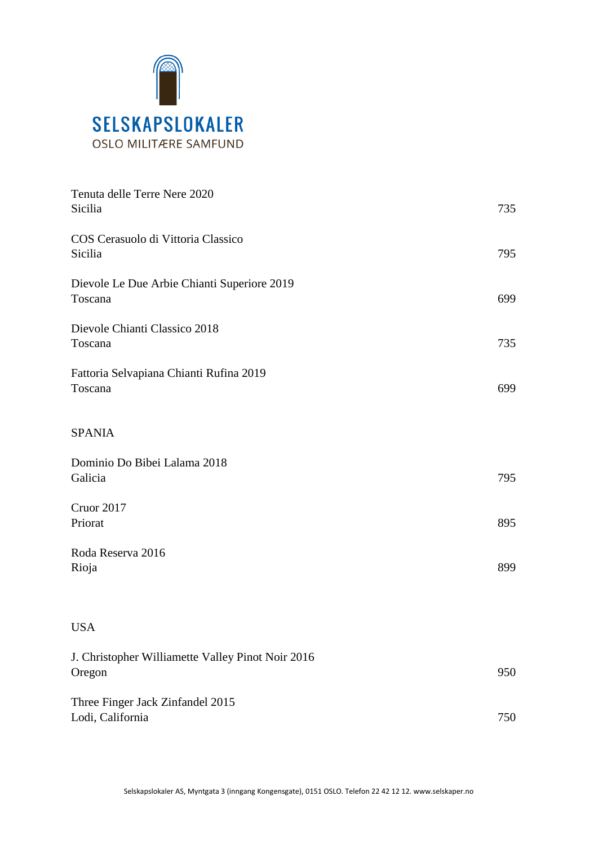

| Tenuta delle Terre Nere 2020<br>Sicilia                     | 735 |
|-------------------------------------------------------------|-----|
| COS Cerasuolo di Vittoria Classico<br>Sicilia               | 795 |
| Dievole Le Due Arbie Chianti Superiore 2019<br>Toscana      | 699 |
| Dievole Chianti Classico 2018<br>Toscana                    | 735 |
| Fattoria Selvapiana Chianti Rufina 2019<br>Toscana          | 699 |
| <b>SPANIA</b>                                               |     |
| Dominio Do Bibei Lalama 2018<br>Galicia                     | 795 |
| Cruor 2017<br>Priorat                                       | 895 |
| Roda Reserva 2016<br>Rioja                                  | 899 |
| <b>USA</b>                                                  |     |
| J. Christopher Williamette Valley Pinot Noir 2016<br>Oregon | 950 |
| Three Finger Jack Zinfandel 2015<br>Lodi, California        | 750 |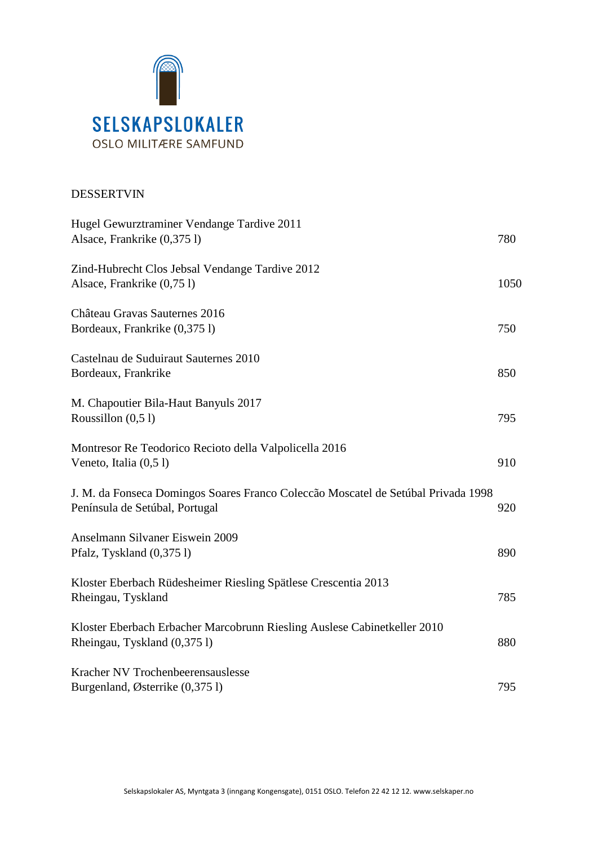

## DESSERTVIN

| Hugel Gewurztraminer Vendange Tardive 2011<br>Alsace, Frankrike (0,375 l)                                           | 780  |
|---------------------------------------------------------------------------------------------------------------------|------|
| Zind-Hubrecht Clos Jebsal Vendange Tardive 2012<br>Alsace, Frankrike (0,751)                                        | 1050 |
| Château Gravas Sauternes 2016<br>Bordeaux, Frankrike (0,3751)                                                       | 750  |
| Castelnau de Suduiraut Sauternes 2010<br>Bordeaux, Frankrike                                                        | 850  |
| M. Chapoutier Bila-Haut Banyuls 2017<br>Roussillon $(0,51)$                                                         | 795  |
| Montresor Re Teodorico Recioto della Valpolicella 2016<br>Veneto, Italia (0,51)                                     | 910  |
| J. M. da Fonseca Domingos Soares Franco Coleccão Moscatel de Setúbal Privada 1998<br>Península de Setúbal, Portugal | 920  |
| Anselmann Silvaner Eiswein 2009<br>Pfalz, Tyskland (0,3751)                                                         | 890  |
| Kloster Eberbach Rüdesheimer Riesling Spätlese Crescentia 2013<br>Rheingau, Tyskland                                | 785  |
| Kloster Eberbach Erbacher Marcobrunn Riesling Auslese Cabinetkeller 2010<br>Rheingau, Tyskland (0,3751)             | 880  |
| Kracher NV Trochenbeerensauslesse<br>Burgenland, Østerrike (0,375 l)                                                | 795  |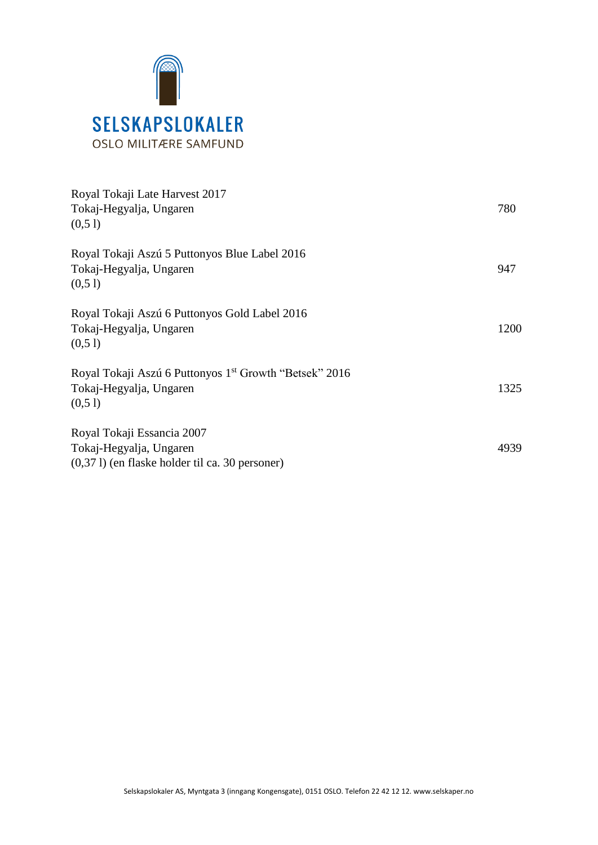

| Royal Tokaji Late Harvest 2017<br>Tokaj-Hegyalja, Ungaren<br>(0,51)                                       | 780  |
|-----------------------------------------------------------------------------------------------------------|------|
| Royal Tokaji Aszú 5 Puttonyos Blue Label 2016<br>Tokaj-Hegyalja, Ungaren<br>(0,51)                        | 947  |
| Royal Tokaji Aszú 6 Puttonyos Gold Label 2016<br>Tokaj-Hegyalja, Ungaren<br>(0,5)                         | 1200 |
| Royal Tokaji Aszú 6 Puttonyos 1 <sup>st</sup> Growth "Betsek" 2016<br>Tokaj-Hegyalja, Ungaren<br>(0,5)    | 1325 |
| Royal Tokaji Essancia 2007<br>Tokaj-Hegyalja, Ungaren<br>$(0,371)$ (en flaske holder til ca. 30 personer) | 4939 |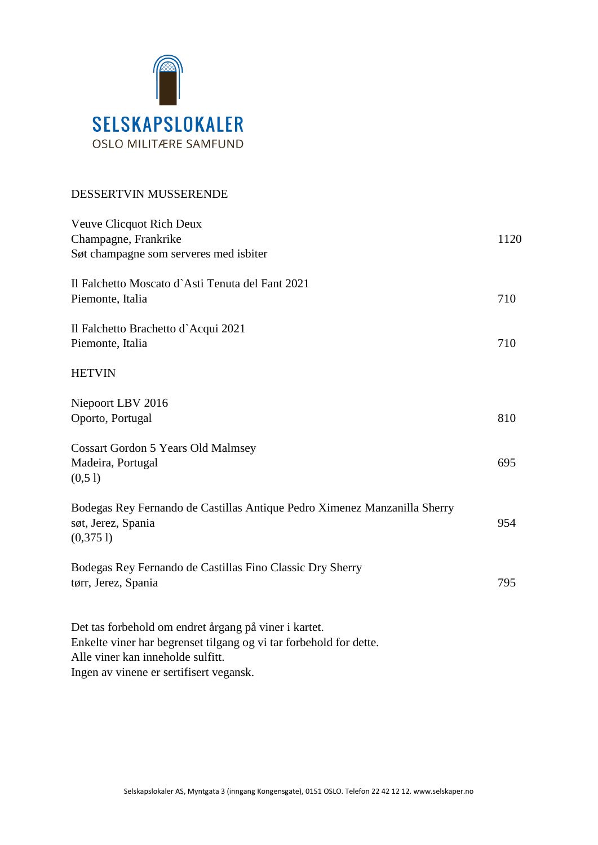

## DESSERTVIN MUSSERENDE

| Veuve Clicquot Rich Deux<br>Champagne, Frankrike<br>Søt champagne som serveres med isbiter                                                                                                                  | 1120 |
|-------------------------------------------------------------------------------------------------------------------------------------------------------------------------------------------------------------|------|
| Il Falchetto Moscato d'Asti Tenuta del Fant 2021<br>Piemonte, Italia                                                                                                                                        | 710  |
| Il Falchetto Brachetto d'Acqui 2021<br>Piemonte, Italia                                                                                                                                                     | 710  |
| <b>HETVIN</b>                                                                                                                                                                                               |      |
| Niepoort LBV 2016<br>Oporto, Portugal                                                                                                                                                                       | 810  |
| <b>Cossart Gordon 5 Years Old Malmsey</b><br>Madeira, Portugal<br>(0,51)                                                                                                                                    | 695  |
| Bodegas Rey Fernando de Castillas Antique Pedro Ximenez Manzanilla Sherry<br>søt, Jerez, Spania<br>(0,3751)                                                                                                 | 954  |
| Bodegas Rey Fernando de Castillas Fino Classic Dry Sherry<br>tørr, Jerez, Spania                                                                                                                            | 795  |
| Det tas forbehold om endret årgang på viner i kartet.<br>Enkelte viner har begrenset tilgang og vi tar forbehold for dette.<br>Alle viner kan inneholde sulfitt.<br>Ingen av vinene er sertifisert vegansk. |      |